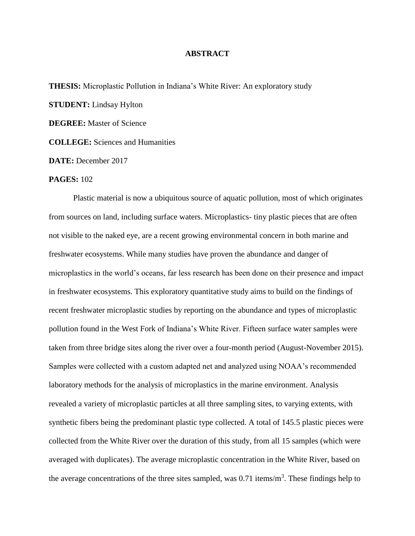## **ABSTRACT**

**THESIS:** Microplastic Pollution in Indiana's White River: An exploratory study **STUDENT:** Lindsay Hylton

**DEGREE:** Master of Science

**COLLEGE:** Sciences and Humanities

**DATE:** December 2017

## **PAGES:** 102

Plastic material is now a ubiquitous source of aquatic pollution, most of which originates from sources on land, including surface waters. Microplastics- tiny plastic pieces that are often not visible to the naked eye, are a recent growing environmental concern in both marine and freshwater ecosystems. While many studies have proven the abundance and danger of microplastics in the world's oceans, far less research has been done on their presence and impact in freshwater ecosystems. This exploratory quantitative study aims to build on the findings of recent freshwater microplastic studies by reporting on the abundance and types of microplastic pollution found in the West Fork of Indiana's White River. Fifteen surface water samples were taken from three bridge sites along the river over a four-month period (August-November 2015). Samples were collected with a custom adapted net and analyzed using NOAA's recommended laboratory methods for the analysis of microplastics in the marine environment. Analysis revealed a variety of microplastic particles at all three sampling sites, to varying extents, with synthetic fibers being the predominant plastic type collected. A total of 145.5 plastic pieces were collected from the White River over the duration of this study, from all 15 samples (which were averaged with duplicates). The average microplastic concentration in the White River, based on the average concentrations of the three sites sampled, was  $0.71$  items/m<sup>3</sup>. These findings help to